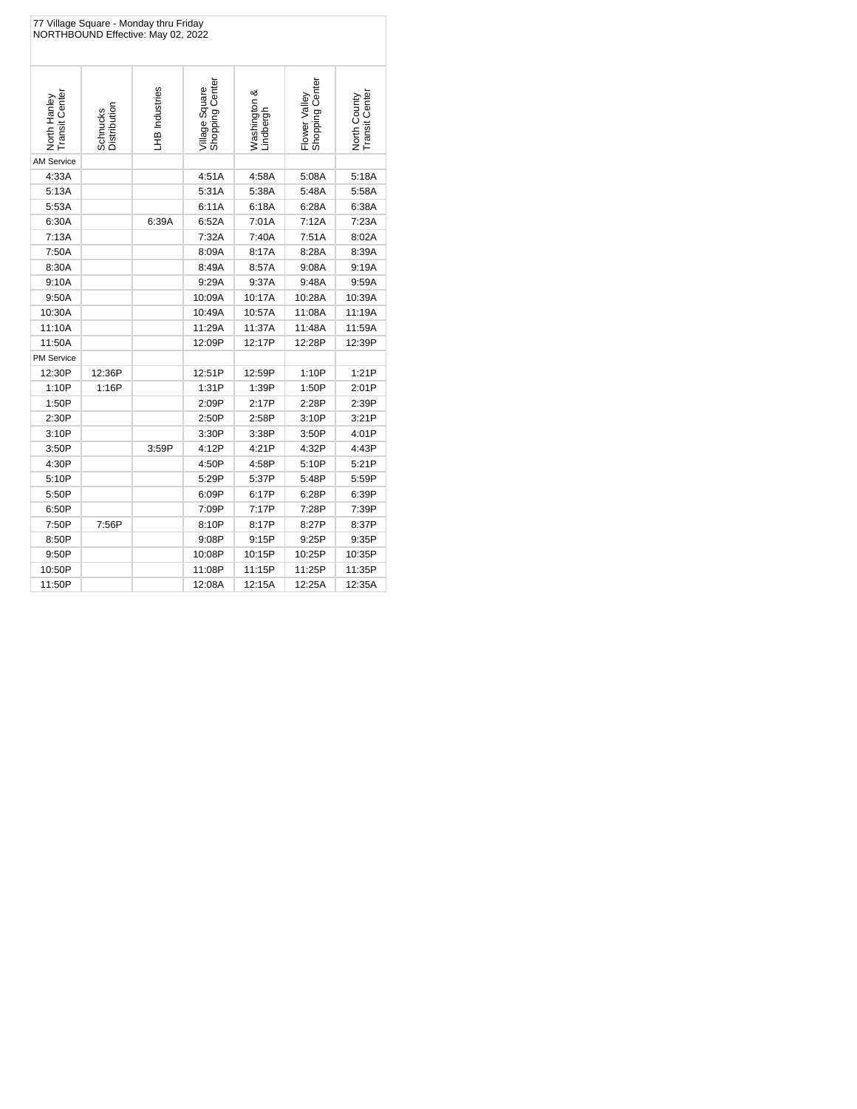| 77 Village Square - Monday thru Friday<br>NORTHBOUND Effective: May 02, 2022 |                          |                |                                   |                           |                                  |                                |  |
|------------------------------------------------------------------------------|--------------------------|----------------|-----------------------------------|---------------------------|----------------------------------|--------------------------------|--|
| North Hanley<br>Transit Center                                               | Schnucks<br>Distribution | LHB Industries | Shopping Center<br>Village Square | Washington &<br>Lindbergh | Shopping Center<br>Flower Valley | North County<br>Transit Center |  |
| <b>AM Service</b>                                                            |                          |                |                                   |                           |                                  |                                |  |
| 4:33A                                                                        |                          |                | 4:51A                             | 4:58A                     | 5:08A                            | 5:18A                          |  |
| 5:13A                                                                        |                          |                | 5:31A                             | 5:38A                     | 5:48A                            | 5:58A                          |  |
| 5:53A                                                                        |                          |                | 6:11A                             | 6:18A                     | 6:28A                            | 6:38A                          |  |
| 6:30A                                                                        |                          | 6:39A          | 6:52A                             | 7:01A                     | 7:12A                            | 7:23A                          |  |
| 7:13A                                                                        |                          |                | 7:32A                             | 7:40A                     | 7:51A                            | 8:02A                          |  |
| 7:50A                                                                        |                          |                | 8:09A                             | 8:17A                     | 8:28A                            | 8:39A                          |  |
| 8:30A                                                                        |                          |                | 8:49A                             | 8:57A                     | 9:08A                            | 9:19A                          |  |
| 9:10A                                                                        |                          |                | 9:29A                             | 9:37A                     | 9:48A                            | 9:59A                          |  |
| 9:50A                                                                        |                          |                | 10:09A                            | 10:17A                    | 10:28A                           | 10:39A                         |  |
| 10:30A                                                                       |                          |                | 10:49A                            | 10:57A                    | 11:08A                           | 11:19A                         |  |
| 11:10A                                                                       |                          |                | 11:29A                            | 11:37A                    | 11:48A                           | 11:59A                         |  |
| 11:50A                                                                       |                          |                | 12:09P                            | 12:17P                    | 12:28P                           | 12:39P                         |  |
| <b>PM Service</b>                                                            |                          |                |                                   |                           |                                  |                                |  |
| 12:30P                                                                       | 12:36P                   |                | 12:51P                            | 12:59P                    | 1:10P                            | 1:21P                          |  |
| 1:10P                                                                        | 1:16P                    |                | 1:31P                             | 1:39P                     | 1:50P                            | 2:01P                          |  |
| 1:50P                                                                        |                          |                | 2:09P                             | 2:17P                     | 2:28P                            | 2:39P                          |  |
| 2:30P                                                                        |                          |                | 2:50P                             | 2:58P                     | 3:10P                            | 3:21P                          |  |
| 3:10P                                                                        |                          |                | 3:30P                             | 3:38P                     | 3:50P                            | 4:01P                          |  |
| 3:50P                                                                        |                          | 3:59P          | 4:12P                             | 4:21P                     | 4:32P                            | 4:43P                          |  |
| 4:30P                                                                        |                          |                | 4:50P                             | 4:58P                     | 5:10P                            | 5:21P                          |  |
| 5:10P                                                                        |                          |                | 5:29P                             | 5:37P                     | 5:48P                            | 5:59P                          |  |
| 5:50P                                                                        |                          |                | 6:09P                             | 6:17P                     | 6:28P                            | 6:39P                          |  |
| 6:50P                                                                        |                          |                | 7:09P                             | 7:17P                     | 7:28P                            | 7:39P                          |  |
| 7:50P                                                                        | 7:56P                    |                | 8:10P                             | 8:17P                     | 8:27P                            | 8:37P                          |  |
| 8:50P                                                                        |                          |                | 9:08P                             | 9:15P                     | 9:25P                            | 9:35P                          |  |
| 9:50P                                                                        |                          |                | 10:08P                            | 10:15P                    | 10:25P                           | 10:35P                         |  |
| 10:50P                                                                       |                          |                | 11:08P                            | 11:15P                    | 11:25P                           | 11:35P                         |  |
| 11:50P                                                                       |                          |                | 12:08A                            | 12:15A                    | 12:25A                           | 12:35A                         |  |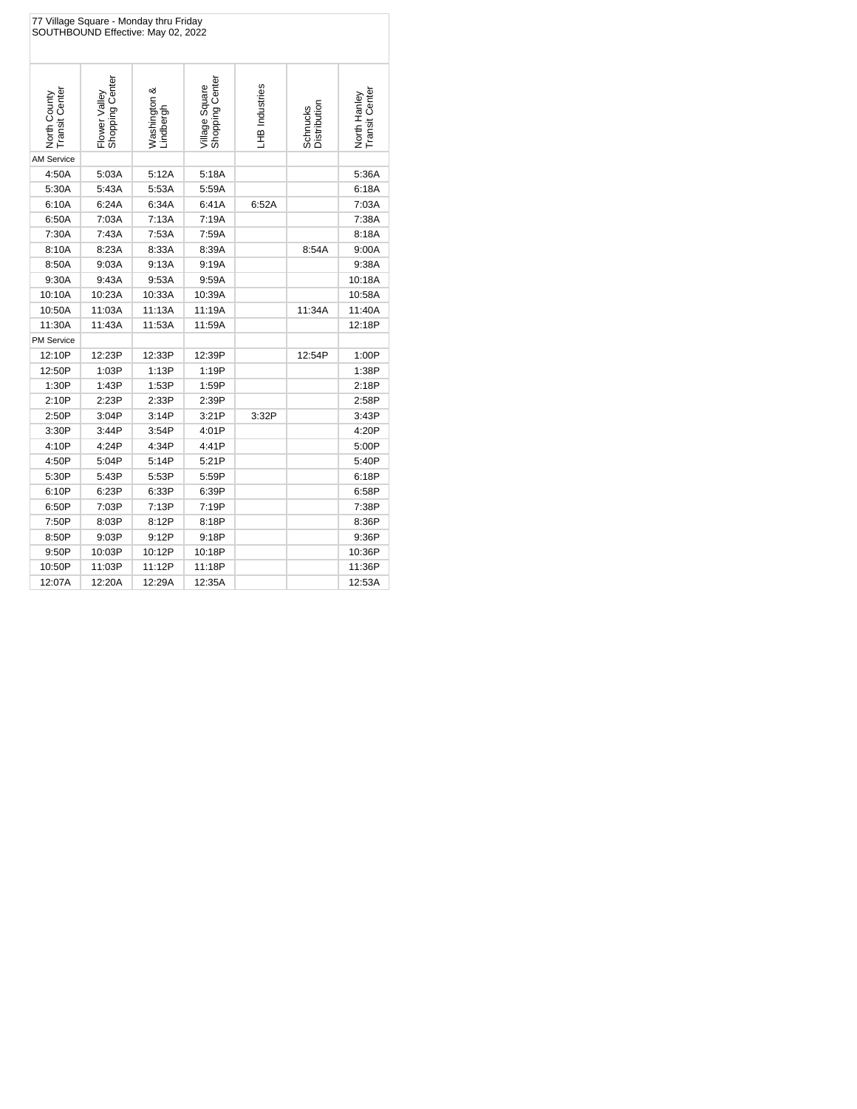| 77 Village Square - Monday thru Friday<br>SOUTHBOUND Effective: May 02, 2022 |                                  |                           |                                   |                |                          |                                |  |
|------------------------------------------------------------------------------|----------------------------------|---------------------------|-----------------------------------|----------------|--------------------------|--------------------------------|--|
| Transit Center<br>North County                                               | Shopping Center<br>Flower Valley | Washington &<br>Lindbergh | Shopping Center<br>Village Square | LHB Industries | Distribution<br>Schnucks | North Hanley<br>Transit Center |  |
| <b>AM Service</b>                                                            |                                  |                           |                                   |                |                          |                                |  |
| 4:50A                                                                        | 5:03A                            | 5:12A                     | 5:18A                             |                |                          | 5:36A                          |  |
| 5:30A                                                                        | 5:43A                            | 5:53A                     | 5:59A                             |                |                          | 6:18A                          |  |
| 6:10A                                                                        | 6:24A                            | 6:34A                     | 6:41A                             | 6:52A          |                          | 7:03A                          |  |
| 6:50A                                                                        | 7:03A                            | 7:13A                     | 7:19A                             |                |                          | 7:38A                          |  |
| 7:30A                                                                        | 7:43A                            | 7:53A                     | 7:59A                             |                |                          | 8:18A                          |  |
| 8:10A                                                                        | 8:23A                            | 8:33A                     | 8:39A                             |                | 8:54A                    | 9:00A                          |  |
| 8:50A                                                                        | 9:03A                            | 9:13A                     | 9:19A                             |                |                          | 9:38A                          |  |
| 9:30A                                                                        | 9:43A                            | 9:53A                     | 9:59A                             |                |                          | 10:18A                         |  |
| 10:10A                                                                       | 10:23A                           | 10:33A                    | 10:39A                            |                |                          | 10:58A                         |  |
| 10:50A                                                                       | 11:03A                           | 11:13A                    | 11:19A                            |                | 11:34A                   | 11:40A                         |  |
| 11:30A                                                                       | 11:43A                           | 11:53A                    | 11:59A                            |                |                          | 12:18P                         |  |
| <b>PM Service</b>                                                            |                                  |                           |                                   |                |                          |                                |  |
| 12:10P                                                                       | 12:23P                           | 12:33P                    | 12:39P                            |                | 12:54P                   | 1:00P                          |  |
| 12:50P                                                                       | 1:03P                            | 1:13P                     | 1:19P                             |                |                          | 1:38P                          |  |
| 1:30P                                                                        | 1:43P                            | 1:53P                     | 1:59P                             |                |                          | 2:18P                          |  |
| 2:10P                                                                        | 2:23P                            | 2:33P                     | 2:39P                             |                |                          | 2:58P                          |  |
| 2:50P                                                                        | 3:04P                            | 3:14P                     | 3:21P                             | 3:32P          |                          | 3:43P                          |  |
| 3:30P                                                                        | 3:44P                            | 3:54P                     | 4:01P                             |                |                          | 4:20P                          |  |
| 4:10P                                                                        | 4:24P                            | 4:34P                     | 4:41P                             |                |                          | 5:00P                          |  |
| 4:50P                                                                        | 5:04P                            | 5:14P                     | 5:21P                             |                |                          | 5:40P                          |  |
| 5:30P                                                                        | 5:43P                            | 5:53P                     | 5:59P                             |                |                          | 6:18P                          |  |
| 6:10P                                                                        | 6:23P                            | 6:33P                     | 6:39P                             |                |                          | 6:58P                          |  |
| 6:50P                                                                        | 7:03P                            | 7:13P                     | 7:19P                             |                |                          | 7:38P                          |  |
| 7:50P                                                                        | 8:03P                            | 8:12P                     | 8:18P                             |                |                          | 8:36P                          |  |
| 8:50P                                                                        | 9:03P                            | 9:12P                     | 9:18P                             |                |                          | 9:36P                          |  |
| 9:50P                                                                        | 10:03P                           | 10:12P                    | 10:18P                            |                |                          | 10:36P                         |  |
| 10:50P                                                                       | 11:03P                           | 11:12P                    | 11:18P                            |                |                          | 11:36P                         |  |
| 12:07A                                                                       | 12:20A                           | 12:29A                    | 12:35A                            |                |                          | 12:53A                         |  |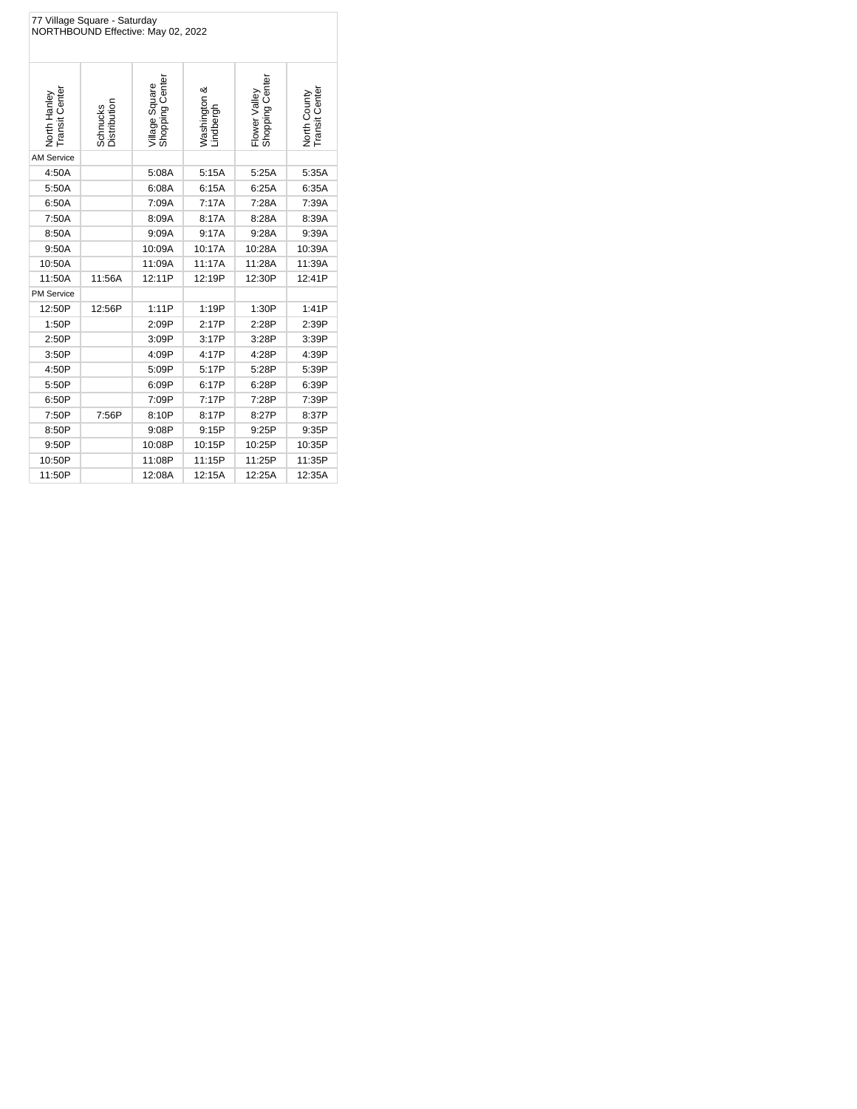| 77 Village Square - Saturday<br>NORTHBOUND Effective: May 02, 2022 |                          |                                   |                           |                                  |                                |  |
|--------------------------------------------------------------------|--------------------------|-----------------------------------|---------------------------|----------------------------------|--------------------------------|--|
| North Hanley<br>Transit Center                                     | Schnucks<br>Distribution | Village Square<br>Shopping Center | Washington &<br>Lindbergh | Shopping Center<br>Flower Valley | North County<br>Transit Center |  |
| <b>AM Service</b>                                                  |                          |                                   |                           |                                  |                                |  |
| 4:50A                                                              |                          | 5:08A                             | 5:15A                     | 5:25A                            | 5:35A                          |  |
| 5:50A                                                              |                          | 6:08A                             | 6:15A                     | 6:25A                            | 6:35A                          |  |
| 6:50A                                                              |                          | 7:09A                             | 7:17A                     | 7:28A                            | 7:39A                          |  |
| 7:50A                                                              |                          | 8:09A                             | 8:17A                     | 8:28A                            | 8:39A                          |  |
| 8:50A                                                              |                          | 9:09A                             | 9:17A                     | 9:28A                            | 9:39A                          |  |
| 9:50A                                                              |                          | 10:09A                            | 10:17A                    | 10:28A                           | 10:39A                         |  |
| 10:50A                                                             |                          | 11:09A                            | 11:17A                    | 11:28A                           | 11:39A                         |  |
| 11:50A                                                             | 11:56A                   | 12:11P                            | 12:19P                    | 12:30P                           | 12:41P                         |  |
| <b>PM Service</b>                                                  |                          |                                   |                           |                                  |                                |  |
| 12:50P                                                             | 12:56P                   | 1:11P                             | 1:19P                     | 1:30P                            | 1:41P                          |  |
| 1:50P                                                              |                          | 2:09P                             | 2:17P                     | 2:28P                            | 2:39P                          |  |
| 2:50P                                                              |                          | 3:09P                             | 3:17P                     | 3:28P                            | 3:39P                          |  |
| 3:50P                                                              |                          | 4:09P                             | 4:17P                     | 4:28P                            | 4:39P                          |  |
| 4:50P                                                              |                          | 5:09P                             | 5:17P                     | 5:28P                            | 5:39P                          |  |
| 5:50P                                                              |                          | 6:09P                             | 6:17P                     | 6:28P                            | 6:39P                          |  |
| 6:50P                                                              |                          | 7:09P                             | 7:17P                     | 7:28P                            | 7:39P                          |  |
| 7:50P                                                              | 7:56P                    | 8:10P                             | 8:17P                     | 8:27P                            | 8:37P                          |  |
| 8:50P                                                              |                          | 9:08P                             | 9:15P                     | 9:25P                            | 9:35P                          |  |
| 9:50P                                                              |                          | 10:08P                            | 10:15P                    | 10:25P                           | 10:35P                         |  |
| 10:50P                                                             |                          | 11:08P                            | 11:15P                    | 11:25P                           | 11:35P                         |  |
| 11:50P                                                             |                          | 12:08A                            | 12:15A                    | 12:25A                           | 12:35A                         |  |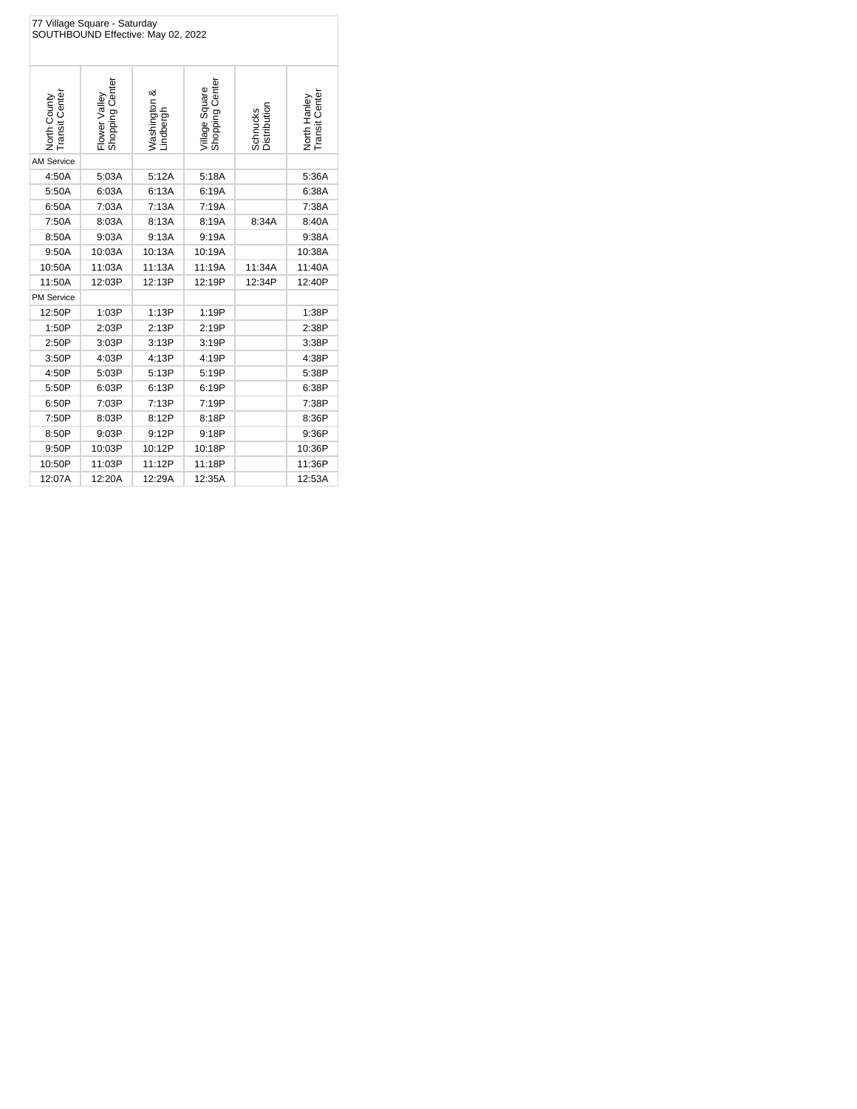| 77 Village Square - Saturday<br>SOUTHBOUND Effective: May 02, 2022 |                                  |                           |                                   |                          |                                |  |  |
|--------------------------------------------------------------------|----------------------------------|---------------------------|-----------------------------------|--------------------------|--------------------------------|--|--|
| North County<br>Transit Center                                     | Flower Valley<br>Shopping Center | Washington &<br>Lindbergh | Shopping Center<br>Village Square | Schnucks<br>Distribution | Transit Center<br>North Hanley |  |  |
| <b>AM Service</b>                                                  |                                  |                           |                                   |                          |                                |  |  |
| 4:50A                                                              | 5:03A                            | 5:12A                     | 5:18A                             |                          | 5:36A                          |  |  |
| 5:50A                                                              | 6:03A                            | 6:13A                     | 6:19A                             |                          | 6:38A                          |  |  |
| 6:50A                                                              | 7:03A                            | 7:13A                     | 7:19A                             |                          | 7:38A                          |  |  |
| 7:50A                                                              | 8:03A                            | 8:13A                     | 8:19A                             | 8:34A                    | 8:40A                          |  |  |
| 8:50A                                                              | 9:03A                            | 9:13A                     | 9:19A                             |                          | 9:38A                          |  |  |
| 9:50A                                                              | 10:03A                           | 10:13A                    | 10:19A                            |                          | 10:38A                         |  |  |
| 10:50A                                                             | 11:03A                           | 11:13A                    | 11:19A                            | 11:34A                   | 11:40A                         |  |  |
| 11:50A                                                             | 12:03P                           | 12:13P                    | 12:19P                            | 12:34P                   | 12:40P                         |  |  |
| <b>PM Service</b>                                                  |                                  |                           |                                   |                          |                                |  |  |
| 12:50P                                                             | 1:03P                            | 1:13P                     | 1:19P                             |                          | 1:38P                          |  |  |
| 1:50P                                                              | 2:03P                            | 2:13P                     | 2:19P                             |                          | 2:38P                          |  |  |
| 2:50P                                                              | 3:03P                            | 3:13P                     | 3:19P                             |                          | 3:38P                          |  |  |
| 3:50P                                                              | 4:03P                            | 4:13P                     | 4:19P                             |                          | 4:38P                          |  |  |
| 4:50P                                                              | 5:03P                            | 5:13P                     | 5:19P                             |                          | 5:38P                          |  |  |
| 5:50P                                                              | 6:03P                            | 6:13P                     | 6:19P                             |                          | 6:38P                          |  |  |
| 6:50P                                                              | 7:03P                            | 7:13P                     | 7:19P                             |                          | 7:38P                          |  |  |
| 7:50P                                                              | 8:03P                            | 8:12P                     | 8:18P                             |                          | 8:36P                          |  |  |
| 8:50P                                                              | 9:03P                            | 9:12P                     | 9:18P                             |                          | 9:36P                          |  |  |
| 9:50P                                                              | 10:03P                           | 10:12P                    | 10:18P                            |                          | 10:36P                         |  |  |
| 10:50P                                                             | 11:03P                           | 11:12P                    | 11:18P                            |                          | 11:36P                         |  |  |
| 12:07A                                                             | 12:20A                           | 12:29A                    | 12:35A                            |                          | 12:53A                         |  |  |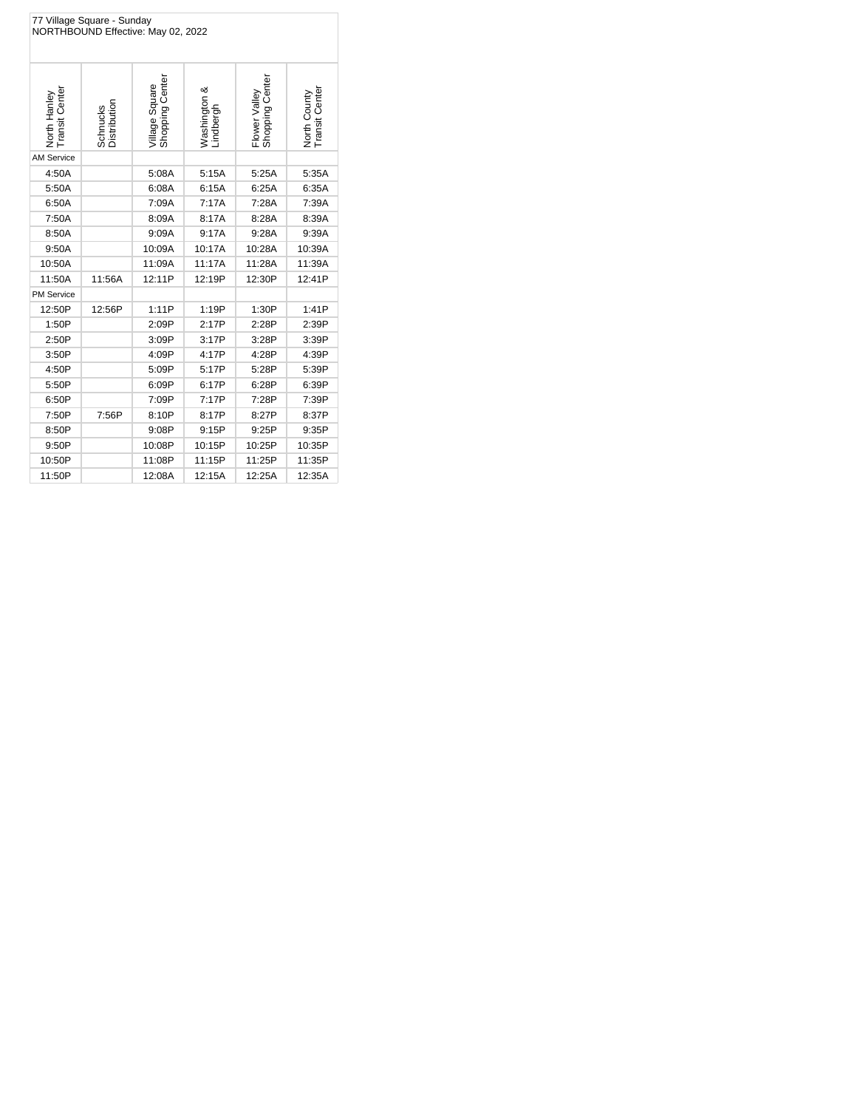| 77 Village Square - Sunday<br>NORTHBOUND Effective: May 02, 2022 |                          |                                   |                           |                                  |                                       |  |
|------------------------------------------------------------------|--------------------------|-----------------------------------|---------------------------|----------------------------------|---------------------------------------|--|
| North Hanley<br>Transit Center                                   | Schnucks<br>Distribution | Shopping Center<br>Village Square | Washington &<br>Lindbergh | Shopping Center<br>Flower Valley | <b>Transit Center</b><br>North County |  |
| <b>AM Service</b>                                                |                          |                                   |                           |                                  |                                       |  |
| 4:50A                                                            |                          | 5:08A                             | 5:15A                     | 5:25A                            | 5:35A                                 |  |
| 5:50A                                                            |                          | 6:08A                             | 6:15A                     | 6:25A                            | 6:35A                                 |  |
| 6:50A                                                            |                          | 7:09A                             | 7:17A                     | 7:28A                            | 7:39A                                 |  |
| 7:50A                                                            |                          | 8:09A                             | 8:17A                     | 8:28A                            | 8:39A                                 |  |
| 8:50A                                                            |                          | 9:09A                             | 9:17A                     | 9:28A                            | 9:39A                                 |  |
| 9:50A                                                            |                          | 10:09A                            | 10:17A                    | 10:28A                           | 10:39A                                |  |
| 10:50A                                                           |                          | 11:09A                            | 11:17A                    | 11:28A                           | 11:39A                                |  |
| 11:50A                                                           | 11:56A                   | 12:11P                            | 12:19P                    | 12:30P                           | 12:41P                                |  |
| <b>PM Service</b>                                                |                          |                                   |                           |                                  |                                       |  |
| 12:50P                                                           | 12:56P                   | 1:11P                             | 1:19P                     | 1:30P                            | 1:41P                                 |  |
| 1:50P                                                            |                          | 2:09P                             | 2:17P                     | 2:28P                            | 2:39P                                 |  |
| 2:50P                                                            |                          | 3:09P                             | 3:17P                     | 3:28P                            | 3:39P                                 |  |
| 3:50P                                                            |                          | 4:09P                             | 4:17P                     | 4:28P                            | 4:39P                                 |  |
| 4:50P                                                            |                          | 5:09P                             | 5:17P                     | 5:28P                            | 5:39P                                 |  |
| 5:50P                                                            |                          | 6:09P                             | 6:17P                     | 6:28P                            | 6:39P                                 |  |
| 6:50P                                                            |                          | 7:09P                             | 7:17P                     | 7:28P                            | 7:39P                                 |  |
| 7:50P                                                            | 7:56P                    | 8:10P                             | 8:17P                     | 8:27P                            | 8:37P                                 |  |
| 8:50P                                                            |                          | 9:08P                             | 9:15P                     | 9:25P                            | 9:35P                                 |  |
| 9:50P                                                            |                          | 10:08P                            | 10:15P                    | 10:25P                           | 10:35P                                |  |
| 10:50P                                                           |                          | 11:08P                            | 11:15P                    | 11:25P                           | 11:35P                                |  |
| 11:50P                                                           |                          | 12:08A                            | 12:15A                    | 12:25A                           | 12:35A                                |  |